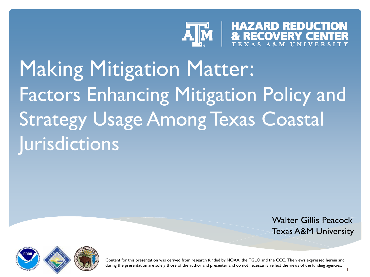

# Making Mitigation Matter: Factors Enhancing Mitigation Policy and Strategy Usage Among Texas Coastal **Jurisdictions**

Walter Gillis Peacock Texas A&M University

1



Content for this presentation was derived from research funded by NOAA, the TGLO and the CCC. The views expressed herein and during the presentation are solely those of the author and presenter and do not necessarily reflect the views of the funding agencies.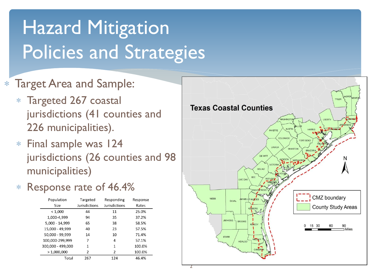# Hazard Mitigation Policies and Strategies

#### Target Area and Sample:

- Targeted 267 coastal jurisdictions (41 counties and 226 municipalities).
- Final sample was 124 jurisdictions (26 counties and 98 municipalities)
- Response rate of 46.4%

| Population        | Targeted      | Responding    | Response |
|-------------------|---------------|---------------|----------|
| Size              | Jurisdictions | Jurisdictions | Rates    |
| < 1,000           | 44            | 11            | 25.0%    |
| 1.000-4.999       | 94            | 35            | 37.2%    |
| 5,000 - 14,999    | 65            | 38            | 58.5%    |
| 15,000 - 49,999   | 40            | 23            | 57.5%    |
| 50,000 - 99,999   | 14            | 10            | 71.4%    |
| 100,000-299,999   | 7             | 4             | 57.1%    |
| 300,000 - 499,000 | 1             | 1             | 100.0%   |
| >1,000,000        | 2             | 2             | 100.0%   |
| Total             | 267           | 124           | 46.4%    |

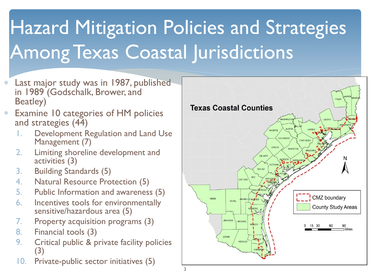# **Hazard Mitigation Policies and Strategies** Among Texas Coastal Jurisdictions

- Last major study was in 1987, published in 1989 (Godschalk, Brower, and Beatley)
- Examine 10 categories of HM policies and strategies (44)
	- 1. Development Regulation and Land Use Management (7)
	- 2. Limiting shoreline development and activities (3)
	- 3. Building Standards (5)
	- 4. Natural Resource Protection (5)
	- 5. Public Information and awareness (5)
	- 6. Incentives tools for environmentally sensitive/hazardous area (5)
	- 7. Property acquisition programs (3)
	- 8. Financial tools (3)
	- 9. Critical public & private facility policies (3)
	- 10. Private-public sector initiatives (5)

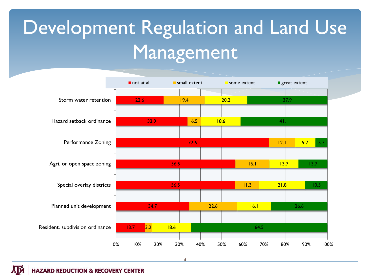# Development Regulation and Land Use Management



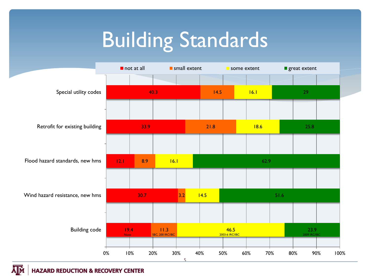# Building Standards



**HAZARD REDUCTION & RECOVERY CENTER** 

ĀM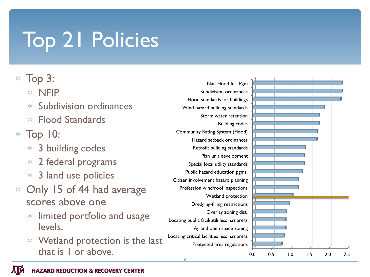# Top 21 Policies

#### Top 3:

- NFIP
- Subdivision ordinances
- Flood Standards
- Top 10:
	- 3 building codes  $\ast$
	- 2 federal programs  $\ast$
	- 3 land use policies  $*$
- Only 15 of 44 had average scores above one
	- limited portfolio and usage  $\ast$ levels.
	- Wetland protection is the last that is 1 or above.



6

0.0 0.5 1.0 1.5 2.0 2.5

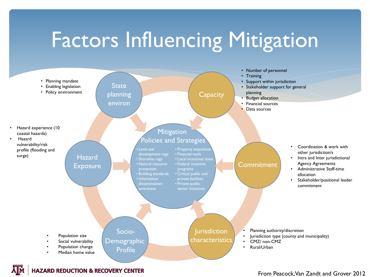# Factors Influencing Mitigation





#### From Peacock, Van Zandt and Grover 2012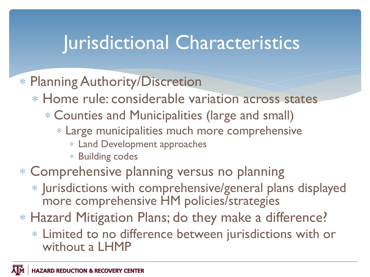## Jurisdictional Characteristics

#### Planning Authority/Discretion

- Home rule: considerable variation across states
	- Counties and Municipalities (large and small)
		- Large municipalities much more comprehensive
			- Land Development approaches
			- Building codes

### Comprehensive planning versus no planning

- Jurisdictions with comprehensive/general plans displayed more comprehensive HM policies/strategies
- Hazard Mitigation Plans; do they make a difference?
	- Limited to no difference between jurisdictions with or without a LHMP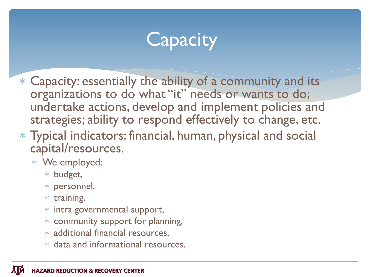## **Capacity**

- Capacity: essentially the ability of a community and its organizations to do what "it" needs or wants to do; undertake actions, develop and implement policies and strategies; ability to respond effectively to change, etc.
- Typical indicators: financial, human, physical and social capital/resources.
	- We employed:
		- budget,
		- personnel,
		- $*$  training,
		- intra governmental support,
		- community support for planning,
		- additional financial resources,
		- data and informational resources.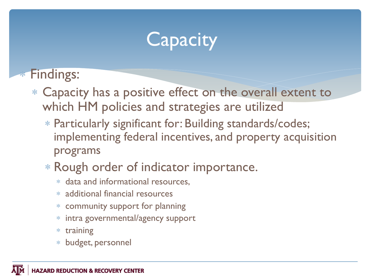## **Capacity**

**Findings:** 

- Capacity has a positive effect on the overall extent to which HM policies and strategies are utilized
	- Particularly significant for: Building standards/codes; implementing federal incentives, and property acquisition programs
	- Rough order of indicator importance.
		- data and informational resources,
		- additional financial resources
		- community support for planning
		- intra governmental/agency support  $\ast$
		- training  $\ast$
		- budget, personnel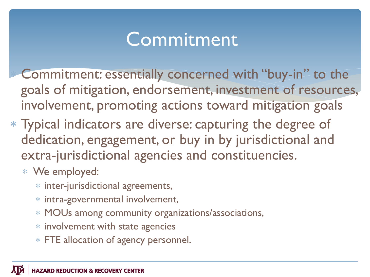## **Commitment**

Commitment: essentially concerned with "buy-in" to the goals of mitigation, endorsement, investment of resources, involvement, promoting actions toward mitigation goals

- Typical indicators are diverse: capturing the degree of dedication, engagement, or buy in by jurisdictional and extra-jurisdictional agencies and constituencies.
	- We employed:
		- inter-jurisdictional agreements,
		- intra-governmental involvement,
		- MOUs among community organizations/associations,
		- involvement with state agencies
		- FTE allocation of agency personnel.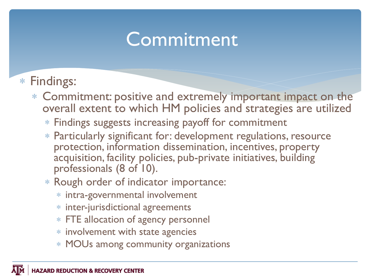## **Commitment**

### Findings:

- Commitment: positive and extremely important impact on the overall extent to which HM policies and strategies are utilized
	- Findings suggests increasing payoff for commitment
	- Particularly significant for: development regulations, resource protection, information dissemination, incentives, property acquisition, facility policies, pub-private initiatives, building professionals (8 of 10).
	- Rough order of indicator importance:
		- intra-governmental involvement
		- inter-jurisdictional agreements
		- FTE allocation of agency personnel
		- involvement with state agencies
		- MOUs among community organizations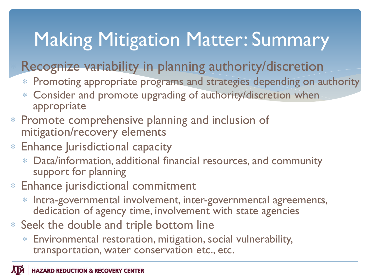## Making Mitigation Matter: Summary

### Recognize variability in planning authority/discretion

- Promoting appropriate programs and strategies depending on authority
- Consider and promote upgrading of authority/discretion when appropriate
- Promote comprehensive planning and inclusion of mitigation/recovery elements
- Enhance Jurisdictional capacity
	- Data/information, additional financial resources, and community support for planning
- Enhance jurisdictional commitment
	- Intra-governmental involvement, inter-governmental agreements, dedication of agency time, involvement with state agencies
- Seek the double and triple bottom line
	- Environmental restoration, mitigation, social vulnerability, transportation, water conservation etc., etc.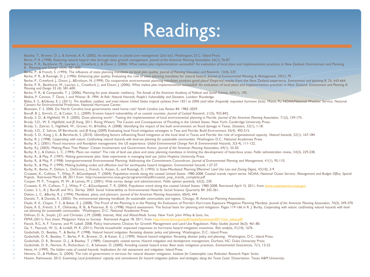## Readings:

Beatley, T., Brower, D. J., & Schwab, A. K. (2002). *An introduction to coastal zone management* (2nd ed.). Washington, D.C.: Island Press. Berke, P. R. (1998). Reducing natural hazard risks through state growth management. *Journal of the American Planning Association, 64*(1), 76-87. Berke, P. R., Backhurst, M., Laurian, L., Crawford, J., & Dixon, J. (2006). What makes plan implementation successful? An evaluation of local plans and implementation practices in New Zealand. Environment and Planning B: Planning and Design 33(4): 581-600. Berke, P., & French, S. (1994). The influence of state planning mandates on local plan quality. *Journal of Planning Education and Research, 13*(4), 237. Berke, P. R., & Roenigk, D. J. (1996). Enhancing plan quality: Evaluating the role of state planning mandates for natural hazard. *Journal of Environmental Planning & Management, 39*(1), 79. Berke, P., Crawford, J., Dixon, J., &Erickson, N. (1999). Do cooperative environmental planning mandates produce good plans? Empirical results from the New Zealand experience. *Environment and planning B, 26*, 643-664. Berke, P. R., Backhurst, M., Laurian, L., Crawford, J., and Dixon, J. (2006). What makes plan implementation successful? An evaluation of local plans and implementation practices in New Zealand. Environment and Planning B: *Planning and Design* 33 (4): 581-600. Berke, P. R., & Campanella, T. J. (2006). Planning for post disaster resiliency. *The Annals of the American Academy of Political and Social Science, 604*(1), 192. Blaikie, P. Cannon, T. Davis, I. and Wisner, B. 1994. *At Risk: Natural Hazards, People's Vulnerability and Disasters.* London: Routledge. Blake, E. S., &Gibney, E. J. (2011). The deadliest, costliest, and most intense United States tropical cyclones from 1851 to 2006 (and other frequently requested hurricane facts). Miami, FL: NOAA/National Weather Service, Centers for Environmental Prediction, National Hurricane Center. Bluestein, F. S. 2006. Do North Carolina local governments need home rule? *North Carolina Law Review* 84: 1983–2029. Boruff, B. J., Emrich, C., & Cutter, S. L. (2009). Erosion hazard vulnerability of us coastal counties. *Journal of Coastal Research, 21*(5), 932-842. Brody, S. D., & Highfield, W. E. (2005). Does planning work? : Testing the implementation of local environmental planning in Florida. *Journal of the American Planning Association, 71*(2), 159-175. Brody. S.D., W. E. Highfield, and JE Kang. 2011. Rising Waters: The Causes and Consequences of Flooding in the United States. New York: Cambridge University Press. Brody, S., Zahran, S., Highfield, W., Grover, H., &Vedlitz, A. (2008). Identifying the impact of the built environment on flood damage in Texas. *Disasters, 32*(1), 1-18. Brody, S.D., Z. Sahran, SP Bernhardt, and JE Kang (2009) Evaluating local Food mitigation strategies in Teas and Florida. Build Environment 35(4), 492-515. Brody, S. D., Kang, J. E., & Bernhardt, S. (2010). Identifying factors influencing flood mitigation at the local level in Texas and Florida: the role of organizational capacity. *Natural hazards, 52*(1), 167-184. Burby, R. J. (1998). *Cooperating with nature: Confronting natural hazards with land-use planning for sustainable communities*. Washington D.C.: National Academies Press. Burby, R. J. (2001). Flood insurance and floodplain management: the US experience. *Global Environmental Change Part B: Environmental Hazards, 3*(3-4), 111-122. Burby, R.J. (2003). Making Plans That Matter: Citizen Involvement and Government Action. *Journal of the American Planning Association, 69*(1), 33-50. Burby, R. J., & Dalton, L. C. (1994). Plans can matter! The role of land use plans and state planning mandates in limiting the development of hazardous areas. *Public administration review, 54*(3), 229-238. Burby, R., & May, P. (1997). *Making governments plan: State experiments in managing land use*: Johns Hopkins University Press. Burby, R., & May, P. (1998). Intergovernmental Environmental Planning: Addressing the Commitment Conundrum. *Journal of Environmental Planning and Management, 41*(1), 95-110. Burby, R., & May, P. (1999). Making building codes and effective tool for earthquake hazard mitigation. *Environmental hazards* 1:27-37. Burby, R., Berke, P., Dalton, L., DeGrove, J., French, S., Kaiser, E., and Roenigk, D. (1993). Is State-Mandated Planning Effective? *Land Use Law and Zoning Digest, 45*(10), 3-9. Crossett, K., Culliton, T., Wiley, P., &Goodspeed, T. (2004). Population trends along the coastal United States. 1980-2008. Coastal trends report series. NOAA, National Ocean Service. Management and Budget Office, Special *Projects*. Retrieved March 28, 2011 from http://oceanservice.noaa.gov/programs/mb/pdfs/coastal\_pop\_trends\_complete.pdf Couper, M. P., Traugott, M. W., & Lamias, M. J. (2001). Web survey design and administration. *Public opinion quarterly, 65*(2), 230. Crossett, K. M., Culliton, T. J., Wiley, P. C., &Goodspeed, T. R. (2004). Population trend along the coastal United States: 1980-2008. Retrieved April 15, 2011, from [www.oceanservice.noaa.gov.](http://www.oceanservice.noaa.gov) Cutter, S. L., B. J. Boruff, and W.L. Shirley. 2003. Social Vulnerability to Environmental Hazards. Social Science Quarterly 84: 242-261. Dalton, L. C., &Burby, R. J. (1994). Mandates, plans, and planners. *Journal of the American Planning Association,* 60(4), 444. Daniels, T., & Daniels, K. (2003). *The environmental planning handbook: for sustainable communities and regions*. Chicago, Ill: American Planning Association. Deyle, R. E., Chapin, T. S., & Baker, E. J. (2008). The Proof of the Planning Is in the Platting: An Evaluation of Florida's Hurricane Exposure Mitigation Planning Mandate. Journal of the American Planning Association, 74( Deyle, R. E., French, S. P., Olshansky, R. B., & Paterson, R. G. (1998). Hazard assessment: The factual basis for planning and mitigation. Pages 119-166 in R. J. Burby, Cooperating with nature: confronting natural hazards *use planning for sustainable communities.* Washington, D.C.: National Academies Press. Dillman, D. A., Smyth, J.D. and Christian, L.M. (2008). *Internet, Mail, and Mixed-Mode Survey.* New York: John Wiley & Sons, Inc. FEMA (2011). Fact sheet: Mitigation Value to Society. Retrieved August 18, 2011, from [http://www.fema.gov/pdf/media/factsheets/2011/mit\\_value.pdf](http://www.fema.gov/pdf/media/factsheets/2011/mit_value.pdf) Fieock, R.C, A. F. Tavares, and M. Lubell. 2008. Policy Instruments Choices for Growth Management and Land Use Regulation. *Policy Studies Journal* 36(3): 461-80. Ge, Y., Peacock, W. G., & Lindell, M. K. (2011). Florida households' expected responses to hurricane hazard mitigation incentives. *Risk analysis,* 31(10), 1676. Godschalk, D., Beatley, T., & Berke, P. (1998). *Natural hazard mitigation: Recasting disaster policy and planning*. Washington, D.C.: Island Press. Godschalk, D. R., Beatley, T., Berke, P. R., Brower, D., & Kaiser, E. J. (1999). *Natural hazard mitigation: Recasting disaster policy and planning*. Washington, D.C.: Island Press. Godschalk, D. R., Brower, D. J., & Beatley, T. (1989). *Catastrophic coastal storms: Hazard mitigation and development management*. Durham, NC: Duke University Press

- Godschalk, D. R., Norton, R., Richardson, C., & Salvesen, D. (2000). Avoiding coastal hazard areas: Best state mitigation practices. *Environmental Geosciences, 7*(1), 13-22.
- Heinz, H. (1999). *The hidden costs of coastal hazards: Implications for risk assessment and mitigation*: Island Press.
- Henstra, D., & McBean, G. (2004). The role of government in services for natural disaster mitigation. *Institute for Catastrophic Loss Reduction Research Paper Series*.
- Husein, Rahmawati. 2012. *Examining Local Jurisdictions' capacity and commitment for hazard mitigation policies and strategies along the Texas Coast.* Dissertation. Texas A&M University.